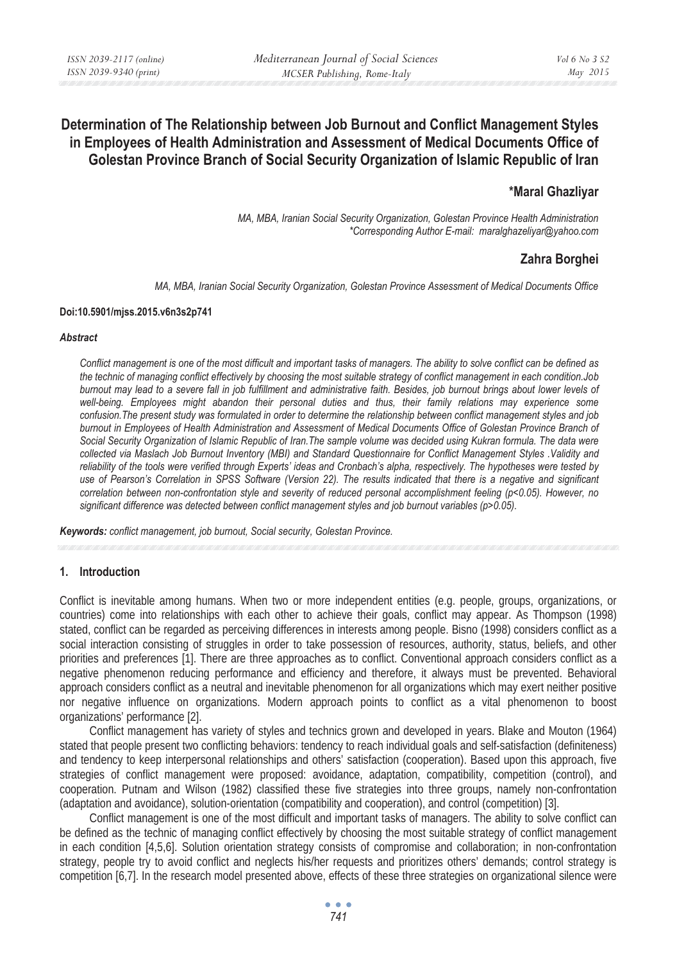# **Determination of The Relationship between Job Burnout and Conflict Management Styles in Employees of Health Administration and Assessment of Medical Documents Office of Golestan Province Branch of Social Security Organization of Islamic Republic of Iran**

# **\*Maral Ghazliyar**

*MA, MBA, Iranian Social Security Organization, Golestan Province Health Administration \*Corresponding Author E-mail: maralghazeliyar@yahoo.com* 

# **Zahra Borghei**

*MA, MBA, Iranian Social Security Organization, Golestan Province Assessment of Medical Documents Office* 

#### **Doi:10.5901/mjss.2015.v6n3s2p741**

#### *Abstract*

*Conflict management is one of the most difficult and important tasks of managers. The ability to solve conflict can be defined as the technic of managing conflict effectively by choosing the most suitable strategy of conflict management in each condition.Job burnout may lead to a severe fall in job fulfillment and administrative faith. Besides, job burnout brings about lower levels of*  well-being. Employees might abandon their personal duties and thus, their family relations may experience some *confusion.The present study was formulated in order to determine the relationship between conflict management styles and job burnout in Employees of Health Administration and Assessment of Medical Documents Office of Golestan Province Branch of Social Security Organization of Islamic Republic of Iran.The sample volume was decided using Kukran formula. The data were collected via Maslach Job Burnout Inventory (MBI) and Standard Questionnaire for Conflict Management Styles .Validity and reliability of the tools were verified through Experts' ideas and Cronbach's alpha, respectively. The hypotheses were tested by use of Pearson's Correlation in SPSS Software (Version 22). The results indicated that there is a negative and significant correlation between non-confrontation style and severity of reduced personal accomplishment feeling (p<0.05). However, no significant difference was detected between conflict management styles and job burnout variables (p>0.05).* 

*Keywords: conflict management, job burnout, Social security, Golestan Province.* 

#### **1. Introduction**

Conflict is inevitable among humans. When two or more independent entities (e.g. people, groups, organizations, or countries) come into relationships with each other to achieve their goals, conflict may appear. As Thompson (1998) stated, conflict can be regarded as perceiving differences in interests among people. Bisno (1998) considers conflict as a social interaction consisting of struggles in order to take possession of resources, authority, status, beliefs, and other priorities and preferences [1]. There are three approaches as to conflict. Conventional approach considers conflict as a negative phenomenon reducing performance and efficiency and therefore, it always must be prevented. Behavioral approach considers conflict as a neutral and inevitable phenomenon for all organizations which may exert neither positive nor negative influence on organizations. Modern approach points to conflict as a vital phenomenon to boost organizations' performance [2].

Conflict management has variety of styles and technics grown and developed in years. Blake and Mouton (1964) stated that people present two conflicting behaviors: tendency to reach individual goals and self-satisfaction (definiteness) and tendency to keep interpersonal relationships and others' satisfaction (cooperation). Based upon this approach, five strategies of conflict management were proposed: avoidance, adaptation, compatibility, competition (control), and cooperation. Putnam and Wilson (1982) classified these five strategies into three groups, namely non-confrontation (adaptation and avoidance), solution-orientation (compatibility and cooperation), and control (competition) [3].

Conflict management is one of the most difficult and important tasks of managers. The ability to solve conflict can be defined as the technic of managing conflict effectively by choosing the most suitable strategy of conflict management in each condition [4,5,6]. Solution orientation strategy consists of compromise and collaboration; in non-confrontation strategy, people try to avoid conflict and neglects his/her requests and prioritizes others' demands; control strategy is competition [6,7]. In the research model presented above, effects of these three strategies on organizational silence were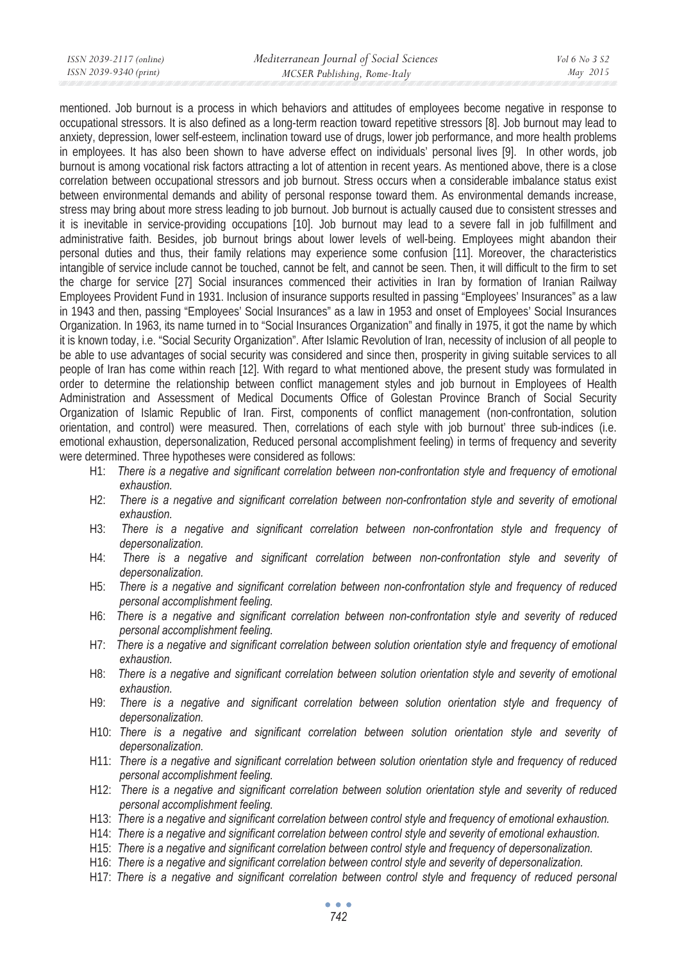| ISSN 2039-2117 (online) | Mediterranean Journal of Social Sciences | Vol 6 No 3 S2 |
|-------------------------|------------------------------------------|---------------|
| ISSN 2039-9340 (print)  | MCSER Publishing, Rome-Italy             | May 2015      |
|                         |                                          |               |

mentioned. Job burnout is a process in which behaviors and attitudes of employees become negative in response to occupational stressors. It is also defined as a long-term reaction toward repetitive stressors [8]. Job burnout may lead to anxiety, depression, lower self-esteem, inclination toward use of drugs, lower job performance, and more health problems in employees. It has also been shown to have adverse effect on individuals' personal lives [9]. In other words, job burnout is among vocational risk factors attracting a lot of attention in recent years. As mentioned above, there is a close correlation between occupational stressors and job burnout. Stress occurs when a considerable imbalance status exist between environmental demands and ability of personal response toward them. As environmental demands increase, stress may bring about more stress leading to job burnout. Job burnout is actually caused due to consistent stresses and it is inevitable in service-providing occupations [10]. Job burnout may lead to a severe fall in job fulfillment and administrative faith. Besides, job burnout brings about lower levels of well-being. Employees might abandon their personal duties and thus, their family relations may experience some confusion [11]. Moreover, the characteristics intangible of service include cannot be touched, cannot be felt, and cannot be seen. Then, it will difficult to the firm to set the charge for service [27] Social insurances commenced their activities in Iran by formation of Iranian Railway Employees Provident Fund in 1931. Inclusion of insurance supports resulted in passing "Employees' Insurances" as a law in 1943 and then, passing "Employees' Social Insurances" as a law in 1953 and onset of Employees' Social Insurances Organization. In 1963, its name turned in to "Social Insurances Organization" and finally in 1975, it got the name by which it is known today, i.e. "Social Security Organization". After Islamic Revolution of Iran, necessity of inclusion of all people to be able to use advantages of social security was considered and since then, prosperity in giving suitable services to all people of Iran has come within reach [12]. With regard to what mentioned above, the present study was formulated in order to determine the relationship between conflict management styles and job burnout in Employees of Health Administration and Assessment of Medical Documents Office of Golestan Province Branch of Social Security Organization of Islamic Republic of Iran. First, components of conflict management (non-confrontation, solution orientation, and control) were measured. Then, correlations of each style with job burnout' three sub-indices (i.e. emotional exhaustion, depersonalization, Reduced personal accomplishment feeling) in terms of frequency and severity were determined. Three hypotheses were considered as follows:

- H1: *There is a negative and significant correlation between non-confrontation style and frequency of emotional exhaustion.*
- H2: There is a negative and significant correlation between non-confrontation style and severity of emotional *exhaustion.*
- H3: *There is a negative and significant correlation between non-confrontation style and frequency of depersonalization.*
- H4: *There is a negative and significant correlation between non-confrontation style and severity of depersonalization.*
- H5: *There is a negative and significant correlation between non-confrontation style and frequency of reduced personal accomplishment feeling.*
- H6: *There is a negative and significant correlation between non-confrontation style and severity of reduced personal accomplishment feeling.*
- H7: *There is a negative and significant correlation between solution orientation style and frequency of emotional exhaustion.*
- H8: There is a negative and significant correlation between solution orientation style and severity of emotional *exhaustion.*
- H9: *There is a negative and significant correlation between solution orientation style and frequency of depersonalization.*
- H10: *There is a negative and significant correlation between solution orientation style and severity of depersonalization.*
- H11: *There is a negative and significant correlation between solution orientation style and frequency of reduced personal accomplishment feeling.*
- H12: *There is a negative and significant correlation between solution orientation style and severity of reduced personal accomplishment feeling.*
- H13: *There is a negative and significant correlation between control style and frequency of emotional exhaustion.*
- H14: *There is a negative and significant correlation between control style and severity of emotional exhaustion.*
- H15: *There is a negative and significant correlation between control style and frequency of depersonalization.*
- H16: *There is a negative and significant correlation between control style and severity of depersonalization.*
- H17: *There is a negative and significant correlation between control style and frequency of reduced personal*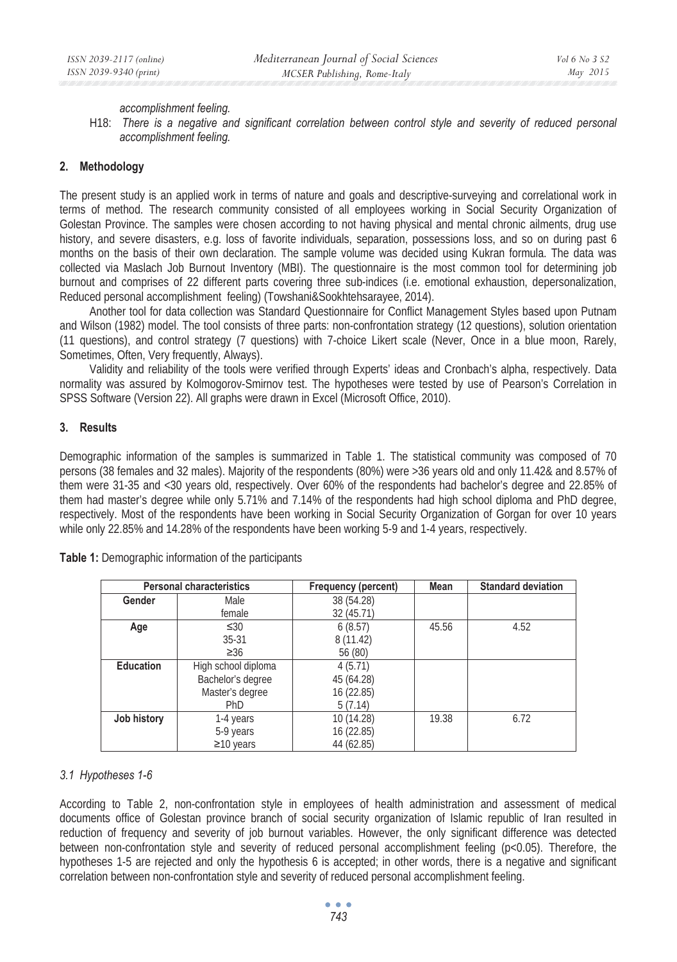#### *accomplishment feeling.*

H18: *There is a negative and significant correlation between control style and severity of reduced personal accomplishment feeling.* 

### **2. Methodology**

The present study is an applied work in terms of nature and goals and descriptive-surveying and correlational work in terms of method. The research community consisted of all employees working in Social Security Organization of Golestan Province. The samples were chosen according to not having physical and mental chronic ailments, drug use history, and severe disasters, e.g. loss of favorite individuals, separation, possessions loss, and so on during past 6 months on the basis of their own declaration. The sample volume was decided using Kukran formula. The data was collected via Maslach Job Burnout Inventory (MBI). The questionnaire is the most common tool for determining job burnout and comprises of 22 different parts covering three sub-indices (i.e. emotional exhaustion, depersonalization, Reduced personal accomplishment feeling) (Towshani&Sookhtehsarayee, 2014).

Another tool for data collection was Standard Questionnaire for Conflict Management Styles based upon Putnam and Wilson (1982) model. The tool consists of three parts: non-confrontation strategy (12 questions), solution orientation (11 questions), and control strategy (7 questions) with 7-choice Likert scale (Never, Once in a blue moon, Rarely, Sometimes, Often, Very frequently, Always).

Validity and reliability of the tools were verified through Experts' ideas and Cronbach's alpha, respectively. Data normality was assured by Kolmogorov-Smirnov test. The hypotheses were tested by use of Pearson's Correlation in SPSS Software (Version 22). All graphs were drawn in Excel (Microsoft Office, 2010).

### **3. Results**

Demographic information of the samples is summarized in Table 1. The statistical community was composed of 70 persons (38 females and 32 males). Majority of the respondents (80%) were >36 years old and only 11.42& and 8.57% of them were 31-35 and <30 years old, respectively. Over 60% of the respondents had bachelor's degree and 22.85% of them had master's degree while only 5.71% and 7.14% of the respondents had high school diploma and PhD degree, respectively. Most of the respondents have been working in Social Security Organization of Gorgan for over 10 years while only 22.85% and 14.28% of the respondents have been working 5-9 and 1-4 years, respectively.

|                  | <b>Personal characteristics</b> | Frequency (percent) | Mean  | <b>Standard deviation</b> |
|------------------|---------------------------------|---------------------|-------|---------------------------|
| Gender           | Male                            | 38 (54.28)          |       |                           |
|                  | female                          | 32 (45.71)          |       |                           |
| Age              | $\leq 30$                       | 6(8.57)             | 45.56 | 4.52                      |
|                  | $35 - 31$                       | 8(11.42)            |       |                           |
|                  | $\geq 36$                       | 56 (80)             |       |                           |
| <b>Education</b> | High school diploma             | 4(5.71)             |       |                           |
|                  | Bachelor's degree               | 45 (64.28)          |       |                           |
|                  | Master's degree                 | 16 (22.85)          |       |                           |
|                  | PhD                             | 5(7.14)             |       |                           |
| Job history      | 1-4 years                       | 10 (14.28)          | 19.38 | 6.72                      |
|                  | 5-9 years                       | 16 (22.85)          |       |                           |
|                  | $\geq$ 10 years                 | 44 (62.85)          |       |                           |

**Table 1:** Demographic information of the participants

### *3.1 Hypotheses 1-6*

According to Table 2, non-confrontation style in employees of health administration and assessment of medical documents office of Golestan province branch of social security organization of Islamic republic of Iran resulted in reduction of frequency and severity of job burnout variables. However, the only significant difference was detected between non-confrontation style and severity of reduced personal accomplishment feeling (p<0.05). Therefore, the hypotheses 1-5 are rejected and only the hypothesis 6 is accepted; in other words, there is a negative and significant correlation between non-confrontation style and severity of reduced personal accomplishment feeling.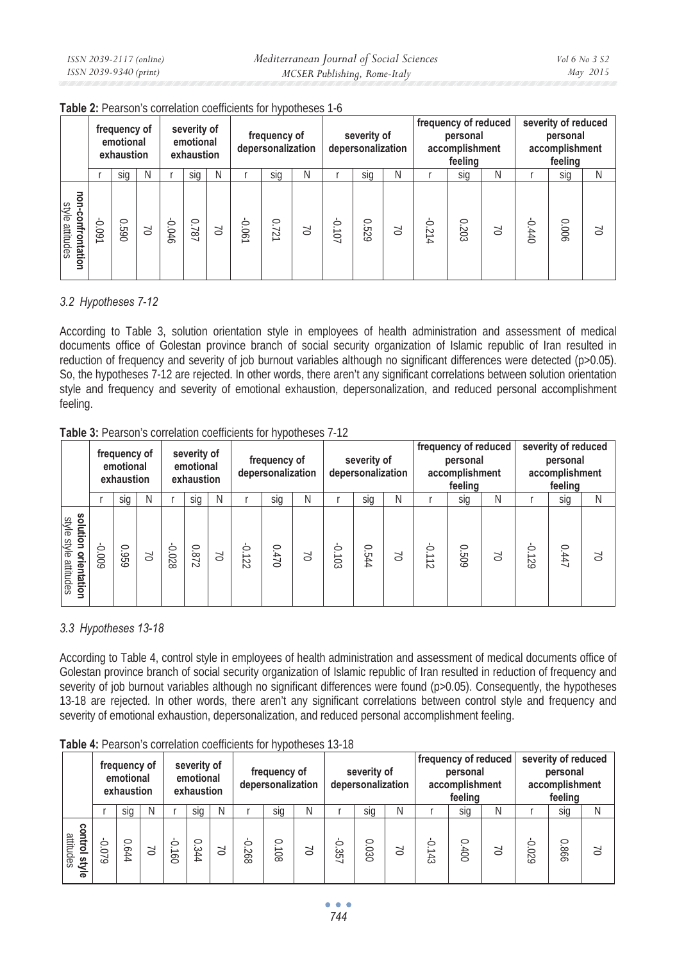|                                      | frequency of<br>emotional<br>exhaustion |      | severity of<br>emotional<br>exhaustion |        | frequency of<br>depersonalization |        |       | severity of<br>depersonalization |        |        | frequency of reduced<br>personal<br>accomplishment<br>feelina |        |       | severity of reduced<br>personal<br>accomplishment<br>feeling |           |               |       |        |
|--------------------------------------|-----------------------------------------|------|----------------------------------------|--------|-----------------------------------|--------|-------|----------------------------------|--------|--------|---------------------------------------------------------------|--------|-------|--------------------------------------------------------------|-----------|---------------|-------|--------|
|                                      |                                         | sig  | Ν                                      |        | sig                               | N      |       | sig                              | Ν      |        | sig                                                           | Ν      |       | sig                                                          | N         |               | sig   | Ν      |
| non-confrontation<br>style attitudes | L60'0-                                  | 0690 | $\sum$                                 | -0.046 | 0.787                             | $\sum$ | 0.061 | O.<br>$\overline{z}$             | $\geq$ | -0.107 | 0.529                                                         | $\sum$ | 0.214 | 0.203                                                        | $\approx$ | $0 + 0.0 - 0$ | 0.006 | $\geq$ |

**Table 2:** Pearson's correlation coefficients for hypotheses 1-6

# *3.2 Hypotheses 7-12*

According to Table 3, solution orientation style in employees of health administration and assessment of medical documents office of Golestan province branch of social security organization of Islamic republic of Iran resulted in reduction of frequency and severity of job burnout variables although no significant differences were detected (p>0.05). So, the hypotheses 7-12 are rejected. In other words, there aren't any significant correlations between solution orientation style and frequency and severity of emotional exhaustion, depersonalization, and reduced personal accomplishment feeling.

|                                                  | frequency of<br>emotional<br>exhaustion |           | severity of<br>emotional<br>exhaustion |             |       | frequency of<br>depersonalization |          |       | severity of<br>depersonalization |          |       |           | frequency of reduced<br>personal<br>accomplishment<br>feeling |       | severity of reduced<br>personal<br>accomplishment<br>feeling |             |       |   |
|--------------------------------------------------|-----------------------------------------|-----------|----------------------------------------|-------------|-------|-----------------------------------|----------|-------|----------------------------------|----------|-------|-----------|---------------------------------------------------------------|-------|--------------------------------------------------------------|-------------|-------|---|
|                                                  |                                         | sia       | Ν                                      |             | sig   | N                                 |          | sia   | Ν                                |          | sig   | Ν         |                                                               | sia   | Ν                                                            |             | sia   | Ν |
| solution orientation<br>style<br>style attitudes | 600'0                                   | 0.95<br>∘ | S                                      | л.<br>0.028 | 0.872 | $\sum$                            | $-0.122$ | 0.470 | 5C                               | $-0.103$ | 0.544 | $\approx$ | -0.112                                                        | 0.509 | $\geq$                                                       | л.<br>0.129 | 0.447 | S |

# *3.3 Hypotheses 13-18*

According to Table 4, control style in employees of health administration and assessment of medical documents office of Golestan province branch of social security organization of Islamic republic of Iran resulted in reduction of frequency and severity of job burnout variables although no significant differences were found (p>0.05). Consequently, the hypotheses 13-18 are rejected. In other words, there aren't any significant correlations between control style and frequency and severity of emotional exhaustion, depersonalization, and reduced personal accomplishment feeling.

|                                 | frequency of<br>emotional<br>exhaustion |              | severity of<br>emotional<br>exhaustion |             | frequency of<br>depersonalization |        |          | severity of<br>depersonalization |   |                    | frequency of reduced<br>personal<br>accomplishment<br>feeling |   |              | severity of reduced<br>personal<br>accomplishment<br>feeling |        |       |                |   |
|---------------------------------|-----------------------------------------|--------------|----------------------------------------|-------------|-----------------------------------|--------|----------|----------------------------------|---|--------------------|---------------------------------------------------------------|---|--------------|--------------------------------------------------------------|--------|-------|----------------|---|
|                                 |                                         | sig          | N                                      |             | sig                               | N      |          | sig                              | N |                    | sig                                                           | N |              | sia                                                          | Ν      |       | sig            | Ν |
| control<br>attitudes<br>l style | 6/0.0                                   | C<br>64<br>خ | $\approx$                              | Ċ<br>-<br>8 | $\circ$<br>.344                   | $\geq$ | 0<br>268 | 0<br>$\sim$<br>—<br>80           | S | C<br>دى<br>ŌΠ<br>◡ | $\circ$<br>030                                                | S | Ò<br>∸<br>43 | $\circ$<br>$00+$                                             | $\geq$ | 6Z0'0 | $\circ$<br>866 | S |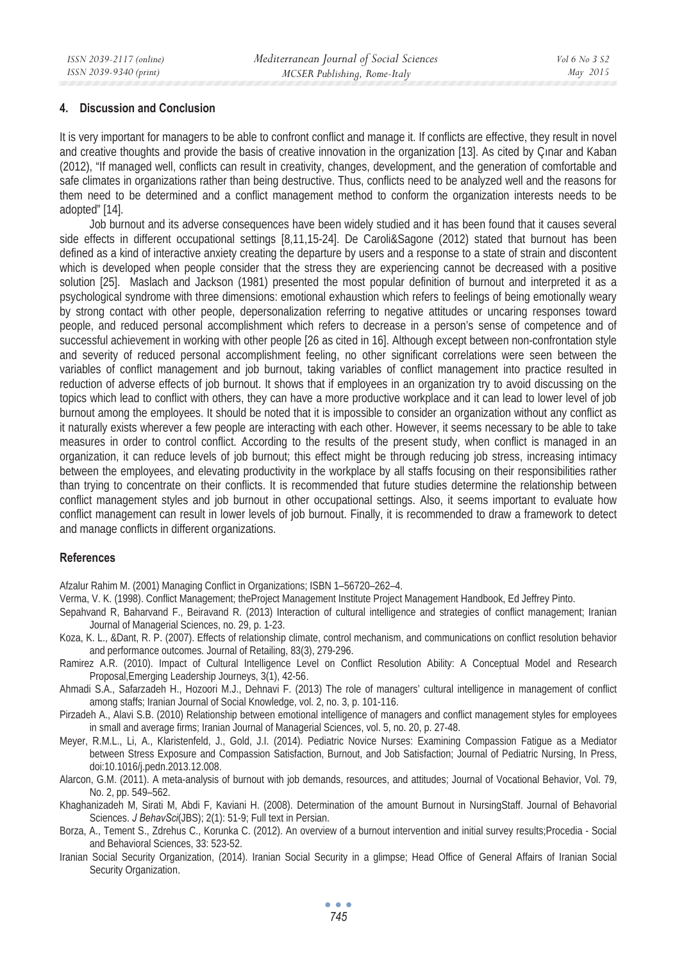### **4. Discussion and Conclusion**

It is very important for managers to be able to confront conflict and manage it. If conflicts are effective, they result in novel and creative thoughts and provide the basis of creative innovation in the organization [13]. As cited by Çınar and Kaban (2012), "If managed well, conflicts can result in creativity, changes, development, and the generation of comfortable and safe climates in organizations rather than being destructive. Thus, conflicts need to be analyzed well and the reasons for them need to be determined and a conflict management method to conform the organization interests needs to be adopted" [14].

Job burnout and its adverse consequences have been widely studied and it has been found that it causes several side effects in different occupational settings [8,11,15-24]. De Caroli&Sagone (2012) stated that burnout has been defined as a kind of interactive anxiety creating the departure by users and a response to a state of strain and discontent which is developed when people consider that the stress they are experiencing cannot be decreased with a positive solution [25]. Maslach and Jackson (1981) presented the most popular definition of burnout and interpreted it as a psychological syndrome with three dimensions: emotional exhaustion which refers to feelings of being emotionally weary by strong contact with other people, depersonalization referring to negative attitudes or uncaring responses toward people, and reduced personal accomplishment which refers to decrease in a person's sense of competence and of successful achievement in working with other people [26 as cited in 16]. Although except between non-confrontation style and severity of reduced personal accomplishment feeling, no other significant correlations were seen between the variables of conflict management and job burnout, taking variables of conflict management into practice resulted in reduction of adverse effects of job burnout. It shows that if employees in an organization try to avoid discussing on the topics which lead to conflict with others, they can have a more productive workplace and it can lead to lower level of job burnout among the employees. It should be noted that it is impossible to consider an organization without any conflict as it naturally exists wherever a few people are interacting with each other. However, it seems necessary to be able to take measures in order to control conflict. According to the results of the present study, when conflict is managed in an organization, it can reduce levels of job burnout; this effect might be through reducing job stress, increasing intimacy between the employees, and elevating productivity in the workplace by all staffs focusing on their responsibilities rather than trying to concentrate on their conflicts. It is recommended that future studies determine the relationship between conflict management styles and job burnout in other occupational settings. Also, it seems important to evaluate how conflict management can result in lower levels of job burnout. Finally, it is recommended to draw a framework to detect and manage conflicts in different organizations.

### **References**

Afzalur Rahim M. (2001) Managing Conflict in Organizations; ISBN 1–56720–262–4.

- Verma, V. K. (1998). Conflict Management; theProject Management Institute Project Management Handbook, Ed Jeffrey Pinto.
- Sepahvand R, Baharvand F., Beiravand R. (2013) Interaction of cultural intelligence and strategies of conflict management; Iranian Journal of Managerial Sciences, no. 29, p. 1-23.
- Koza, K. L., &Dant, R. P. (2007). Effects of relationship climate, control mechanism, and communications on conflict resolution behavior and performance outcomes. Journal of Retailing, 83(3), 279-296.
- Ramirez A.R. (2010). Impact of Cultural Intelligence Level on Conflict Resolution Ability: A Conceptual Model and Research Proposal,Emerging Leadership Journeys, 3(1), 42-56.
- Ahmadi S.A., Safarzadeh H., Hozoori M.J., Dehnavi F. (2013) The role of managers' cultural intelligence in management of conflict among staffs; Iranian Journal of Social Knowledge, vol. 2, no. 3, p. 101-116.
- Pirzadeh A., Alavi S.B. (2010) Relationship between emotional intelligence of managers and conflict management styles for employees in small and average firms; Iranian Journal of Managerial Sciences, vol. 5, no. 20, p. 27-48.
- Meyer, R.M.L., Li, A., Klaristenfeld, J., Gold, J.I. (2014). Pediatric Novice Nurses: Examining Compassion Fatigue as a Mediator between Stress Exposure and Compassion Satisfaction, Burnout, and Job Satisfaction; Journal of Pediatric Nursing, In Press, doi:10.1016/j.pedn.2013.12.008.
- Alarcon, G.M. (2011). A meta-analysis of burnout with job demands, resources, and attitudes; Journal of Vocational Behavior, Vol. 79, No. 2, pp. 549–562.

Khaghanizadeh M, Sirati M, Abdi F, Kaviani H. (2008). Determination of the amount Burnout in NursingStaff. Journal of Behavorial Sciences. *J BehavSci*(JBS); 2(1): 51-9; Full text in Persian.

- Borza, A., Tement S., Zdrehus C., Korunka C. (2012). An overview of a burnout intervention and initial survey results;Procedia Social and Behavioral Sciences, 33: 523-52.
- Iranian Social Security Organization, (2014). Iranian Social Security in a glimpse; Head Office of General Affairs of Iranian Social Security Organization.